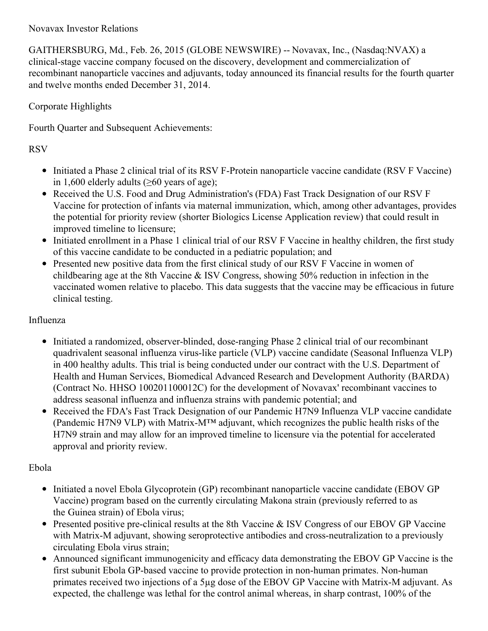## Novavax Investor Relations

GAITHERSBURG, Md., Feb. 26, 2015 (GLOBE NEWSWIRE) -- Novavax, Inc., (Nasdaq:NVAX) a clinical-stage vaccine company focused on the discovery, development and commercialization of recombinant nanoparticle vaccines and adjuvants, today announced its financial results for the fourth quarter and twelve months ended December 31, 2014.

## Corporate Highlights

Fourth Quarter and Subsequent Achievements:

# RSV

- Initiated a Phase 2 clinical trial of its RSV F-Protein nanoparticle vaccine candidate (RSV F Vaccine) in 1,600 elderly adults (≥60 years of age);
- Received the U.S. Food and Drug Administration's (FDA) Fast Track Designation of our RSV F Vaccine for protection of infants via maternal immunization, which, among other advantages, provides the potential for priority review (shorter Biologics License Application review) that could result in improved timeline to licensure;
- Initiated enrollment in a Phase 1 clinical trial of our RSV F Vaccine in healthy children, the first study of this vaccine candidate to be conducted in a pediatric population; and
- Presented new positive data from the first clinical study of our RSV F Vaccine in women of childbearing age at the 8th Vaccine & ISV Congress, showing 50% reduction in infection in the vaccinated women relative to placebo. This data suggests that the vaccine may be efficacious in future clinical testing.

## Influenza

- Initiated a randomized, observer-blinded, dose-ranging Phase 2 clinical trial of our recombinant quadrivalent seasonal influenza virus-like particle (VLP) vaccine candidate (Seasonal Influenza VLP) in 400 healthy adults. This trial is being conducted under our contract with the U.S. Department of Health and Human Services, Biomedical Advanced Research and Development Authority (BARDA) (Contract No. HHSO 100201100012C) for the development of Novavax' recombinant vaccines to address seasonal influenza and influenza strains with pandemic potential; and
- Received the FDA's Fast Track Designation of our Pandemic H7N9 Influenza VLP vaccine candidate (Pandemic H7N9 VLP) with Matrix-M™ adjuvant, which recognizes the public health risks of the H7N9 strain and may allow for an improved timeline to licensure via the potential for accelerated approval and priority review.

# Ebola

- Initiated a novel Ebola Glycoprotein (GP) recombinant nanoparticle vaccine candidate (EBOV GP) Vaccine) program based on the currently circulating Makona strain (previously referred to as the Guinea strain) of Ebola virus;
- Presented positive pre-clinical results at the 8th Vaccine & ISV Congress of our EBOV GP Vaccine with Matrix-M adjuvant, showing seroprotective antibodies and cross-neutralization to a previously circulating Ebola virus strain;
- Announced significant immunogenicity and efficacy data demonstrating the EBOV GP Vaccine is the first subunit Ebola GP-based vaccine to provide protection in non-human primates. Non-human primates received two injections of a 5µg dose of the EBOV GP Vaccine with Matrix-M adjuvant. As expected, the challenge was lethal for the control animal whereas, in sharp contrast, 100% of the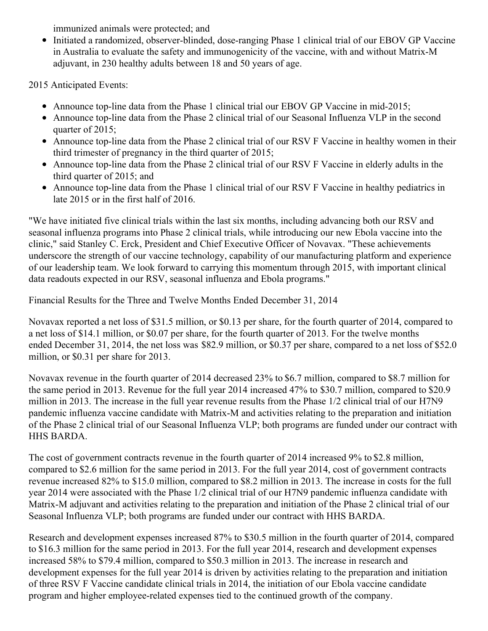immunized animals were protected; and

Initiated a randomized, observer-blinded, dose-ranging Phase 1 clinical trial of our EBOV GP Vaccine in Australia to evaluate the safety and immunogenicity of the vaccine, with and without Matrix-M adjuvant, in 230 healthy adults between 18 and 50 years of age.

2015 Anticipated Events:

- Announce top-line data from the Phase 1 clinical trial our EBOV GP Vaccine in mid-2015;
- Announce top-line data from the Phase 2 clinical trial of our Seasonal Influenza VLP in the second quarter of 2015;
- Announce top-line data from the Phase 2 clinical trial of our RSV F Vaccine in healthy women in their third trimester of pregnancy in the third quarter of 2015;
- Announce top-line data from the Phase 2 clinical trial of our RSV F Vaccine in elderly adults in the third quarter of 2015; and
- Announce top-line data from the Phase 1 clinical trial of our RSV F Vaccine in healthy pediatrics in late 2015 or in the first half of 2016.

"We have initiated five clinical trials within the last six months, including advancing both our RSV and seasonal influenza programs into Phase 2 clinical trials, while introducing our new Ebola vaccine into the clinic," said Stanley C. Erck, President and Chief Executive Officer of Novavax. "These achievements underscore the strength of our vaccine technology, capability of our manufacturing platform and experience of our leadership team. We look forward to carrying this momentum through 2015, with important clinical data readouts expected in our RSV, seasonal influenza and Ebola programs."

Financial Results for the Three and Twelve Months Ended December 31, 2014

Novavax reported a net loss of \$31.5 million, or \$0.13 per share, for the fourth quarter of 2014, compared to a net loss of \$14.1 million, or \$0.07 per share, for the fourth quarter of 2013. For the twelve months ended December 31, 2014, the net loss was \$82.9 million, or \$0.37 per share, compared to a net loss of \$52.0 million, or \$0.31 per share for 2013.

Novavax revenue in the fourth quarter of 2014 decreased 23% to \$6.7 million, compared to \$8.7 million for the same period in 2013. Revenue for the full year 2014 increased 47% to \$30.7 million, compared to \$20.9 million in 2013. The increase in the full year revenue results from the Phase 1/2 clinical trial of our H7N9 pandemic influenza vaccine candidate with Matrix-M and activities relating to the preparation and initiation of the Phase 2 clinical trial of our Seasonal Influenza VLP; both programs are funded under our contract with HHS BARDA.

The cost of government contracts revenue in the fourth quarter of 2014 increased 9% to \$2.8 million, compared to \$2.6 million for the same period in 2013. For the full year 2014, cost of government contracts revenue increased 82% to \$15.0 million, compared to \$8.2 million in 2013. The increase in costs for the full year 2014 were associated with the Phase 1/2 clinical trial of our H7N9 pandemic influenza candidate with Matrix-M adjuvant and activities relating to the preparation and initiation of the Phase 2 clinical trial of our Seasonal Influenza VLP; both programs are funded under our contract with HHS BARDA.

Research and development expenses increased 87% to \$30.5 million in the fourth quarter of 2014, compared to \$16.3 million for the same period in 2013. For the full year 2014, research and development expenses increased 58% to \$79.4 million, compared to \$50.3 million in 2013. The increase in research and development expenses for the full year 2014 is driven by activities relating to the preparation and initiation of three RSV F Vaccine candidate clinical trials in 2014, the initiation of our Ebola vaccine candidate program and higher employee-related expenses tied to the continued growth of the company.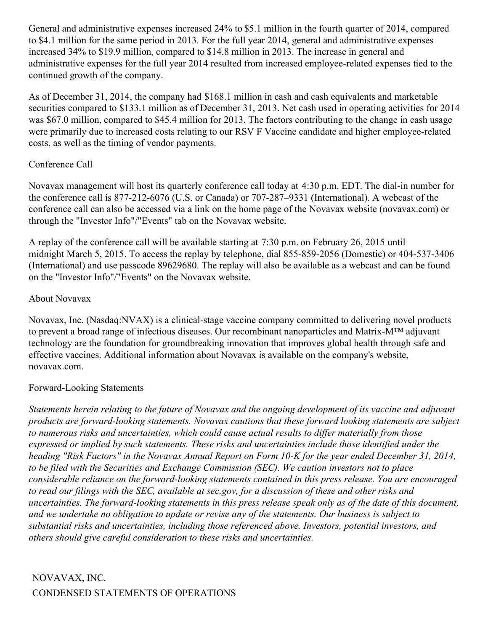General and administrative expenses increased 24% to \$5.1 million in the fourth quarter of 2014, compared to \$4.1 million for the same period in 2013. For the full year 2014, general and administrative expenses increased 34% to \$19.9 million, compared to \$14.8 million in 2013. The increase in general and administrative expenses for the full year 2014 resulted from increased employee-related expenses tied to the continued growth of the company.

As of December 31, 2014, the company had \$168.1 million in cash and cash equivalents and marketable securities compared to \$133.1 million as of December 31, 2013. Net cash used in operating activities for 2014 was \$67.0 million, compared to \$45.4 million for 2013. The factors contributing to the change in cash usage were primarily due to increased costs relating to our RSV F Vaccine candidate and higher employee-related costs, as well as the timing of vendor payments.

#### Conference Call

Novavax management will host its quarterly conference call today at 4:30 p.m. EDT. The dial-in number for the conference call is 877-212-6076 (U.S. or Canada) or 707-287–9331 (International). A webcast of the conference call can also be accessed via a link on the home page of the Novavax website (novavax.com) or through the "Investor Info"/"Events" tab on the Novavax website.

A replay of the conference call will be available starting at 7:30 p.m. on February 26, 2015 until midnight March 5, 2015. To access the replay by telephone, dial 855-859-2056 (Domestic) or 404-537-3406 (International) and use passcode 89629680. The replay will also be available as a webcast and can be found on the "Investor Info"/"Events" on the Novavax website.

#### About Novavax

Novavax, Inc. (Nasdaq:NVAX) is a clinical-stage vaccine company committed to delivering novel products to prevent a broad range of infectious diseases. Our recombinant nanoparticles and Matrix-M™ adjuvant technology are the foundation for groundbreaking innovation that improves global health through safe and effective vaccines. Additional information about Novavax is available on the company's website, novavax.com.

## Forward-Looking Statements

Statements herein relating to the future of Novavax and the ongoing development of its vaccine and adjuvant *products are forward-looking statements. Novavax cautions that these forward looking statements are subject to numerous risks and uncertainties, which could cause actual results to dif er materially from those expressed or implied by such statements. These risks and uncertainties include those identified under the* heading "Risk Factors" in the Novavax Annual Report on Form 10-K for the year ended December 31, 2014, *to be filed with the Securities and Exchange Commission (SEC). We caution investors not to place considerable reliance on the forward-looking statements contained in this press release. You are encouraged* to read our filings with the SEC, available at sec.gov, for a discussion of these and other risks and uncertainties. The forward-looking statements in this press release speak only as of the date of this document, and we undertake no obligation to update or revise any of the statements. Our business is subject to *substantial risks and uncertainties, including those referenced above. Investors, potential investors, and others should give careful consideration to these risks and uncertainties.*

# NOVAVAX, INC. CONDENSED STATEMENTS OF OPERATIONS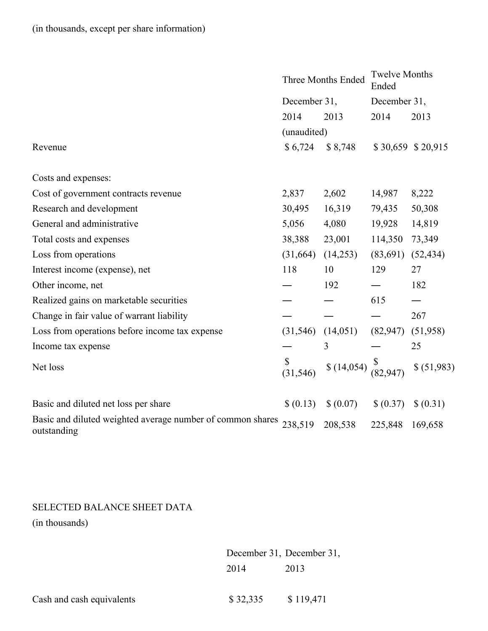|                                                                           | <b>Three Months Ended</b><br>December 31, |            | <b>Twelve Months</b><br>Ended |                   |
|---------------------------------------------------------------------------|-------------------------------------------|------------|-------------------------------|-------------------|
|                                                                           |                                           |            | December 31,                  |                   |
|                                                                           | 2014                                      | 2013       | 2014                          | 2013              |
|                                                                           | (unaudited)                               |            |                               |                   |
| Revenue                                                                   | \$6,724                                   | \$8,748    |                               | \$30,659 \$20,915 |
| Costs and expenses:                                                       |                                           |            |                               |                   |
| Cost of government contracts revenue                                      | 2,837                                     | 2,602      | 14,987                        | 8,222             |
| Research and development                                                  | 30,495                                    | 16,319     | 79,435                        | 50,308            |
| General and administrative                                                | 5,056                                     | 4,080      | 19,928                        | 14,819            |
| Total costs and expenses                                                  | 38,388                                    | 23,001     | 114,350                       | 73,349            |
| Loss from operations                                                      | (31,664)                                  | (14,253)   | (83,691)                      | (52, 434)         |
| Interest income (expense), net                                            | 118                                       | 10         | 129                           | 27                |
| Other income, net                                                         |                                           | 192        |                               | 182               |
| Realized gains on marketable securities                                   |                                           |            | 615                           |                   |
| Change in fair value of warrant liability                                 |                                           |            |                               | 267               |
| Loss from operations before income tax expense                            | (31, 546)                                 | (14,051)   | (82, 947)                     | (51,958)          |
| Income tax expense                                                        |                                           | 3          |                               | 25                |
| Net loss                                                                  | \$<br>(31, 546)                           | \$(14,054) |                               | \$ (51,983)       |
| Basic and diluted net loss per share                                      | \$ (0.13)                                 | \$ (0.07)  | \$ (0.37)                     | \$ (0.31)         |
| Basic and diluted weighted average number of common shares<br>outstanding | 238,519                                   | 208,538    | 225,848                       | 169,658           |

# SELECTED BALANCE SHEET DATA

(in thousands)

December 31, December 31, 2014 2013

Cash and cash equivalents \$ 32,335 \$ 119,471